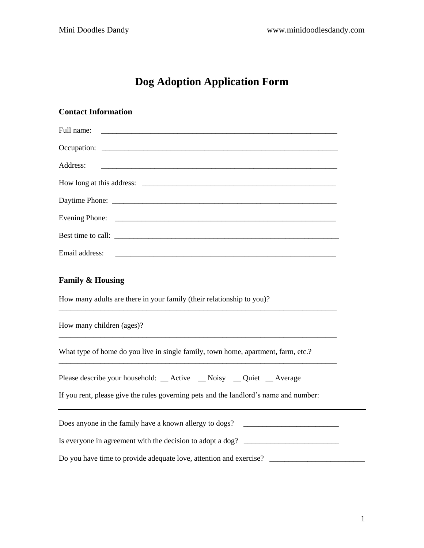# **Dog Adoption Application Form**

| <b>Contact Information</b>                                                            |
|---------------------------------------------------------------------------------------|
| Full name:                                                                            |
|                                                                                       |
| Address:                                                                              |
| How long at this address:                                                             |
|                                                                                       |
|                                                                                       |
| Best time to call:                                                                    |
| Email address:                                                                        |
| <b>Family &amp; Housing</b>                                                           |
| How many adults are there in your family (their relationship to you)?                 |
| How many children (ages)?                                                             |
| What type of home do you live in single family, town home, apartment, farm, etc.?     |
| Please describe your household: _Active _Noisy _Quiet _Average                        |
| If you rent, please give the rules governing pets and the landlord's name and number: |
| Does anyone in the family have a known allergy to dogs?                               |
| Is everyone in agreement with the decision to adopt a dog? ______________________     |
|                                                                                       |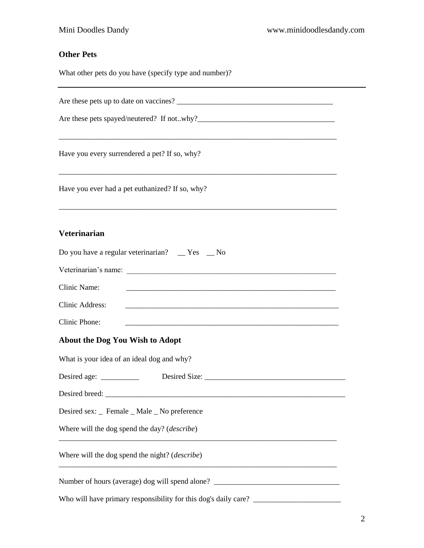## **Other Pets**

What other pets do you have (specify type and number)?

Are these pets up to date on vaccines? \_\_\_\_\_\_\_\_\_\_\_\_\_\_\_\_\_\_\_\_\_\_\_\_\_\_\_\_\_\_\_\_\_\_\_\_\_\_\_\_\_

Are these pets spayed/neutered? If not..why?\_\_\_\_\_\_\_\_\_\_\_\_\_\_\_\_\_\_\_\_\_\_\_\_\_\_\_\_\_\_\_\_\_\_\_\_

Have you every surrendered a pet? If so, why?

Have you ever had a pet euthanized? If so, why?

### **Veterinarian**

| Do you have a regular veterinarian? __ Yes __ No                                                                                      |
|---------------------------------------------------------------------------------------------------------------------------------------|
| Veterinarian's name:                                                                                                                  |
| Clinic Name:                                                                                                                          |
| Clinic Address:                                                                                                                       |
| Clinic Phone:<br><u> 1999 - Johann John Harry Harry Harry Harry Harry Harry Harry Harry Harry Harry Harry Harry Harry Harry Harry</u> |
| About the Dog You Wish to Adopt                                                                                                       |
| What is your idea of an ideal dog and why?                                                                                            |
|                                                                                                                                       |
|                                                                                                                                       |
| Desired sex: _ Female _ Male _ No preference                                                                                          |
| Where will the dog spend the day? ( <i>describe</i> )<br><u> 1989 - Johann Barn, mars an t-Amerikaansk komponister (* 1958)</u>       |
| Where will the dog spend the night? ( <i>describe</i> )                                                                               |
| Number of hours (average) dog will spend alone? _________________________________                                                     |
|                                                                                                                                       |

\_\_\_\_\_\_\_\_\_\_\_\_\_\_\_\_\_\_\_\_\_\_\_\_\_\_\_\_\_\_\_\_\_\_\_\_\_\_\_\_\_\_\_\_\_\_\_\_\_\_\_\_\_\_\_\_\_\_\_\_\_\_\_\_\_\_\_\_\_\_\_\_\_